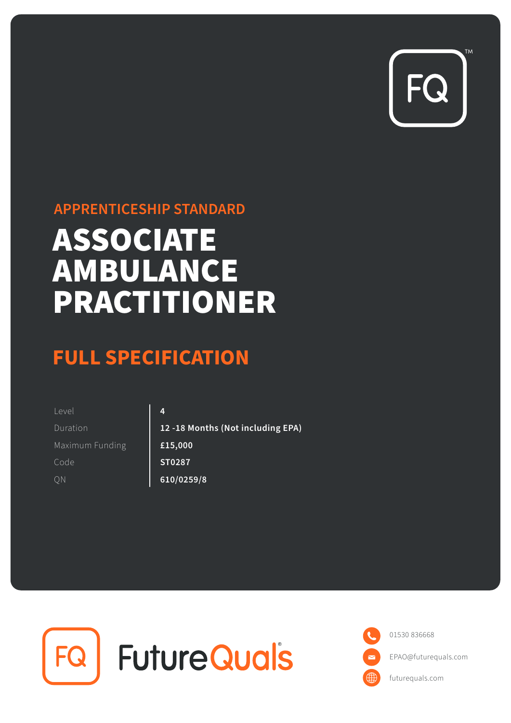

## **APPRENTICESHIP STANDARD**

## ASSOCIATE AMBULANCE PRACTITIONER

## **FULL SPECIFICATION**

| Level           | 4                                 |
|-----------------|-----------------------------------|
| Duration        | 12 -18 Months (Not including EPA) |
| Maximum Funding | £15,000                           |
| Code            | ST0287                            |
| ΟN              | 610/0259/8                        |



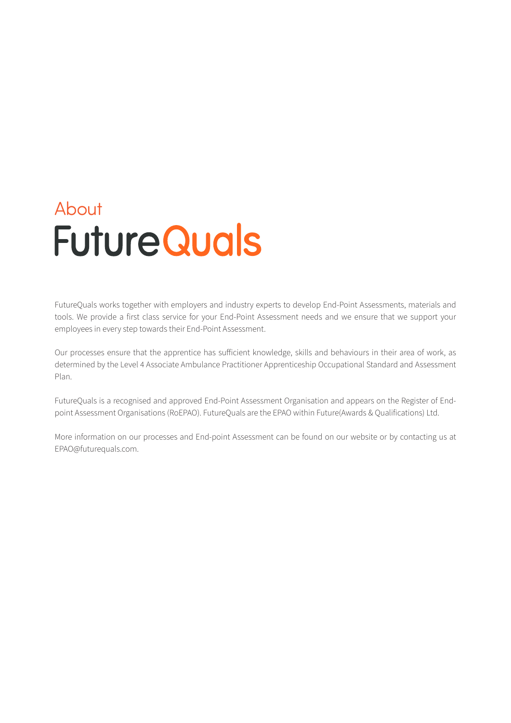# About **Future Quals**

FutureQuals works together with employers and industry experts to develop End-Point Assessments, materials and tools. We provide a first class service for your End-Point Assessment needs and we ensure that we support your employees in every step towards their End-Point Assessment.

Our processes ensure that the apprentice has sufficient knowledge, skills and behaviours in their area of work, as determined by the Level 4 Associate Ambulance Practitioner Apprenticeship Occupational Standard and Assessment Plan.

FutureQuals is a recognised and approved End-Point Assessment Organisation and appears on the Register of Endpoint Assessment Organisations (RoEPAO). FutureQuals are the EPAO within Future(Awards & Qualifications) Ltd.

More information on our processes and End-point Assessment can be found on our website or by contacting us at EPAO@futurequals.com.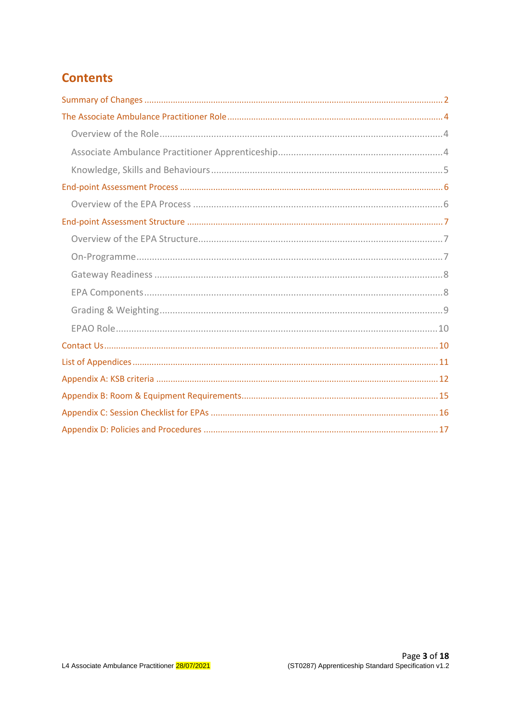## **Contents**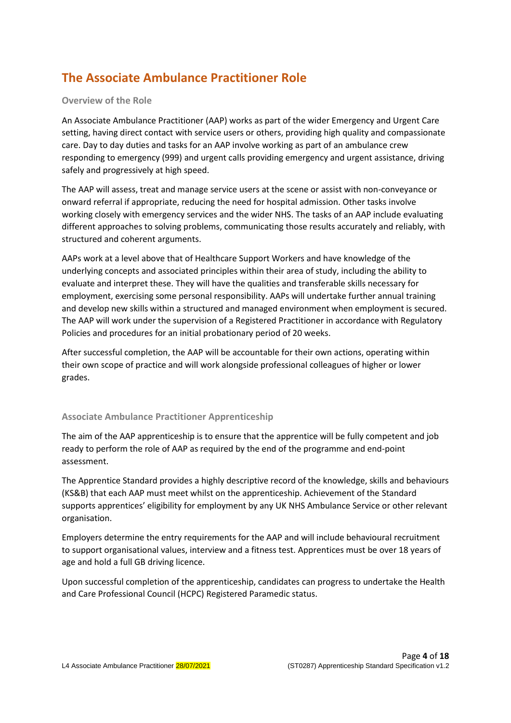## <span id="page-3-0"></span>**The Associate Ambulance Practitioner Role**

#### <span id="page-3-1"></span>**Overview of the Role**

An Associate Ambulance Practitioner (AAP) works as part of the wider Emergency and Urgent Care setting, having direct contact with service users or others, providing high quality and compassionate care. Day to day duties and tasks for an AAP involve working as part of an ambulance crew responding to emergency (999) and urgent calls providing emergency and urgent assistance, driving safely and progressively at high speed.

The AAP will assess, treat and manage service users at the scene or assist with non-conveyance or onward referral if appropriate, reducing the need for hospital admission. Other tasks involve working closely with emergency services and the wider NHS. The tasks of an AAP include evaluating different approaches to solving problems, communicating those results accurately and reliably, with structured and coherent arguments.

AAPs work at a level above that of Healthcare Support Workers and have knowledge of the underlying concepts and associated principles within their area of study, including the ability to evaluate and interpret these. They will have the qualities and transferable skills necessary for employment, exercising some personal responsibility. AAPs will undertake further annual training and develop new skills within a structured and managed environment when employment is secured. The AAP will work under the supervision of a Registered Practitioner in accordance with Regulatory Policies and procedures for an initial probationary period of 20 weeks.

After successful completion, the AAP will be accountable for their own actions, operating within their own scope of practice and will work alongside professional colleagues of higher or lower grades.

#### <span id="page-3-2"></span>**Associate Ambulance Practitioner Apprenticeship**

The aim of the AAP apprenticeship is to ensure that the apprentice will be fully competent and job ready to perform the role of AAP as required by the end of the programme and end-point assessment.

The Apprentice Standard provides a highly descriptive record of the knowledge, skills and behaviours (KS&B) that each AAP must meet whilst on the apprenticeship. Achievement of the Standard supports apprentices' eligibility for employment by any UK NHS Ambulance Service or other relevant organisation.

Employers determine the entry requirements for the AAP and will include behavioural recruitment to support organisational values, interview and a fitness test. Apprentices must be over 18 years of age and hold a full GB driving licence.

Upon successful completion of the apprenticeship, candidates can progress to undertake the Health and Care Professional Council (HCPC) Registered Paramedic status.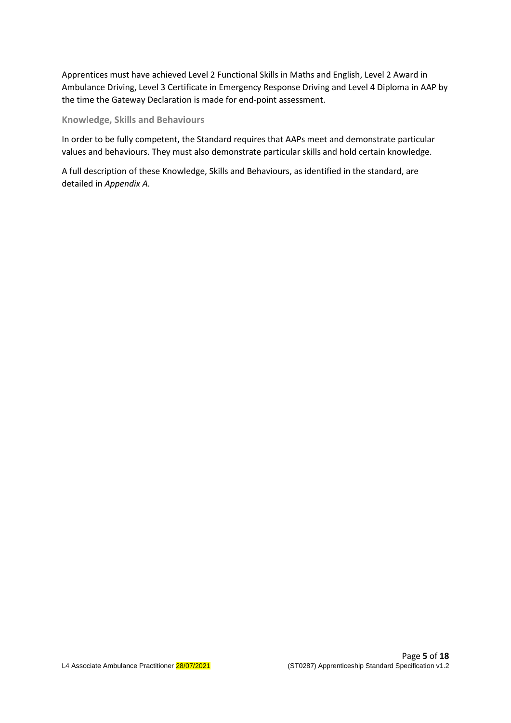Apprentices must have achieved Level 2 Functional Skills in Maths and English, Level 2 Award in Ambulance Driving, Level 3 Certificate in Emergency Response Driving and Level 4 Diploma in AAP by the time the Gateway Declaration is made for end-point assessment.

#### <span id="page-4-0"></span>**Knowledge, Skills and Behaviours**

In order to be fully competent, the Standard requires that AAPs meet and demonstrate particular values and behaviours. They must also demonstrate particular skills and hold certain knowledge.

<span id="page-4-1"></span>A full description of these Knowledge, Skills and Behaviours, as identified in the standard, are detailed in *Appendix A.*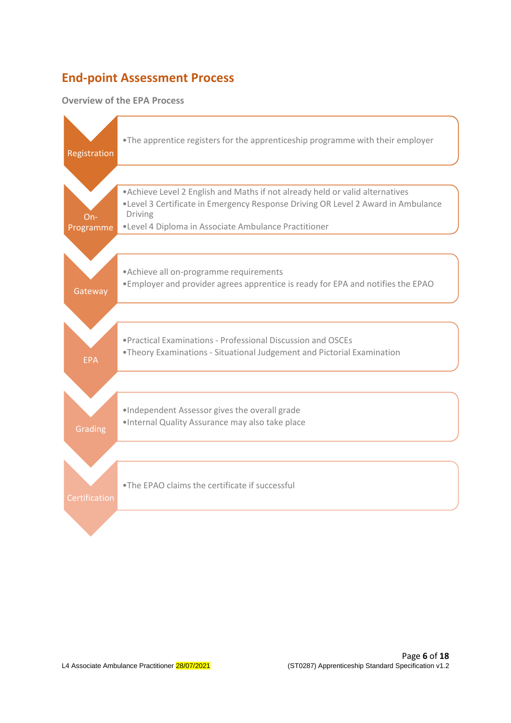## **End-point Assessment Process**

#### <span id="page-5-0"></span>**Overview of the EPA Process**

<span id="page-5-1"></span>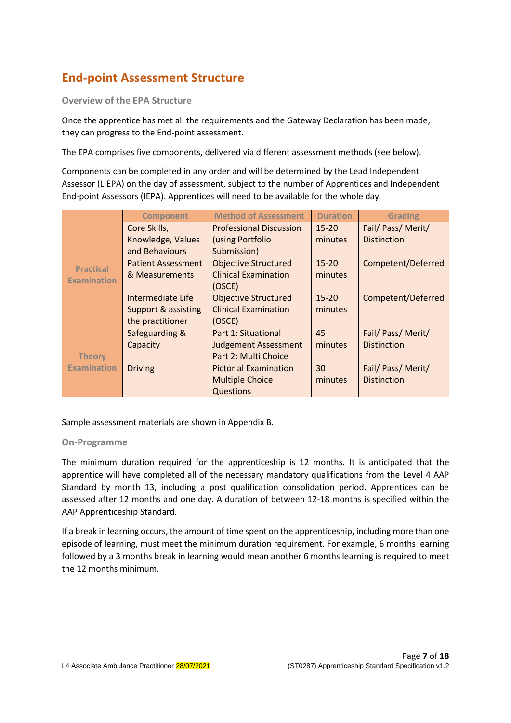## **End-point Assessment Structure**

<span id="page-6-0"></span>**Overview of the EPA Structure**

Once the apprentice has met all the requirements and the Gateway Declaration has been made, they can progress to the End-point assessment.

The EPA comprises five components, delivered via different assessment methods (see below).

Components can be completed in any order and will be determined by the Lead Independent Assessor (LIEPA) on the day of assessment, subject to the number of Apprentices and Independent End-point Assessors (IEPA). Apprentices will need to be available for the whole day.

|                    | <b>Component</b>          | <b>Method of Assessment</b>    | <b>Duration</b> | <b>Grading</b>     |
|--------------------|---------------------------|--------------------------------|-----------------|--------------------|
|                    | Core Skills,              | <b>Professional Discussion</b> | $15 - 20$       | Fail/ Pass/ Merit/ |
|                    | Knowledge, Values         | (using Portfolio               | minutes         | <b>Distinction</b> |
|                    | and Behaviours            | Submission)                    |                 |                    |
| <b>Practical</b>   | <b>Patient Assessment</b> | <b>Objective Structured</b>    | $15 - 20$       | Competent/Deferred |
| <b>Examination</b> | & Measurements            | <b>Clinical Examination</b>    | minutes         |                    |
|                    |                           | (OSCE)                         |                 |                    |
|                    | Intermediate Life         | <b>Objective Structured</b>    | $15 - 20$       | Competent/Deferred |
|                    | Support & assisting       | <b>Clinical Examination</b>    | minutes         |                    |
|                    | the practitioner          | (OSCE)                         |                 |                    |
|                    | Safeguarding &            | Part 1: Situational            | 45              | Fail/ Pass/ Merit/ |
|                    | Capacity                  | <b>Judgement Assessment</b>    | minutes         | <b>Distinction</b> |
| <b>Theory</b>      |                           | Part 2: Multi Choice           |                 |                    |
| <b>Examination</b> | <b>Driving</b>            | <b>Pictorial Examination</b>   | 30              | Fail/ Pass/ Merit/ |
|                    |                           | <b>Multiple Choice</b>         | minutes         | <b>Distinction</b> |
|                    |                           | Questions                      |                 |                    |

Sample assessment materials are shown in Appendix B.

#### <span id="page-6-1"></span>**On-Programme**

The minimum duration required for the apprenticeship is 12 months. It is anticipated that the apprentice will have completed all of the necessary mandatory qualifications from the Level 4 AAP Standard by month 13, including a post qualification consolidation period. Apprentices can be assessed after 12 months and one day. A duration of between 12-18 months is specified within the AAP Apprenticeship Standard.

If a break in learning occurs, the amount of time spent on the apprenticeship, including more than one episode of learning, must meet the minimum duration requirement. For example, 6 months learning followed by a 3 months break in learning would mean another 6 months learning is required to meet the 12 months minimum.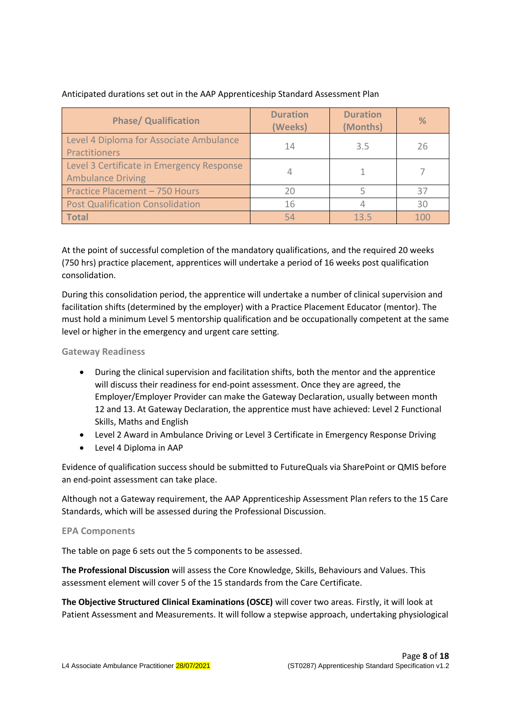|  | Anticipated durations set out in the AAP Apprenticeship Standard Assessment Plan |  |  |  |
|--|----------------------------------------------------------------------------------|--|--|--|
|  |                                                                                  |  |  |  |
|  |                                                                                  |  |  |  |

| <b>Phase/ Qualification</b>                                           | <b>Duration</b><br>(Weeks) | <b>Duration</b><br>(Months) | $\%$ |
|-----------------------------------------------------------------------|----------------------------|-----------------------------|------|
| Level 4 Diploma for Associate Ambulance<br>Practitioners              | 14                         | 3.5                         | 26   |
| Level 3 Certificate in Emergency Response<br><b>Ambulance Driving</b> |                            |                             |      |
| Practice Placement - 750 Hours                                        | 20                         |                             | 37   |
| <b>Post Qualification Consolidation</b>                               | 16                         |                             | 30   |
| <b>Total</b>                                                          | 54                         | 135                         | 100  |

At the point of successful completion of the mandatory qualifications, and the required 20 weeks (750 hrs) practice placement, apprentices will undertake a period of 16 weeks post qualification consolidation.

During this consolidation period, the apprentice will undertake a number of clinical supervision and facilitation shifts (determined by the employer) with a Practice Placement Educator (mentor). The must hold a minimum Level 5 mentorship qualification and be occupationally competent at the same level or higher in the emergency and urgent care setting.

<span id="page-7-0"></span>**Gateway Readiness**

- During the clinical supervision and facilitation shifts, both the mentor and the apprentice will discuss their readiness for end-point assessment. Once they are agreed, the Employer/Employer Provider can make the Gateway Declaration, usually between month 12 and 13. At Gateway Declaration, the apprentice must have achieved: Level 2 Functional Skills, Maths and English
- Level 2 Award in Ambulance Driving or Level 3 Certificate in Emergency Response Driving
- Level 4 Diploma in AAP

Evidence of qualification success should be submitted to FutureQuals via SharePoint or QMIS before an end-point assessment can take place.

Although not a Gateway requirement, the AAP Apprenticeship Assessment Plan refers to the 15 Care Standards, which will be assessed during the Professional Discussion.

#### <span id="page-7-1"></span>**EPA Components**

The table on page 6 sets out the 5 components to be assessed.

**The Professional Discussion** will assess the Core Knowledge, Skills, Behaviours and Values. This assessment element will cover 5 of the 15 standards from the Care Certificate.

**The Objective Structured Clinical Examinations (OSCE)** will cover two areas. Firstly, it will look at Patient Assessment and Measurements. It will follow a stepwise approach, undertaking physiological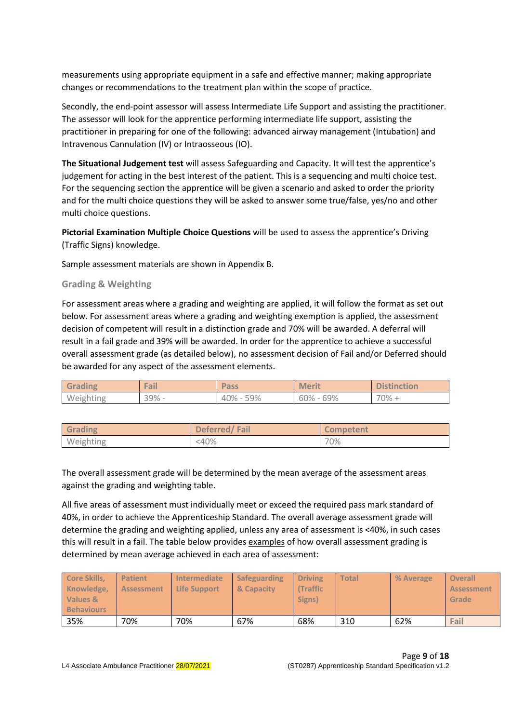measurements using appropriate equipment in a safe and effective manner; making appropriate changes or recommendations to the treatment plan within the scope of practice.

Secondly, the end-point assessor will assess Intermediate Life Support and assisting the practitioner. The assessor will look for the apprentice performing intermediate life support, assisting the practitioner in preparing for one of the following: advanced airway management (Intubation) and Intravenous Cannulation (IV) or Intraosseous (IO).

**The Situational Judgement test** will assess Safeguarding and Capacity. It will test the apprentice's judgement for acting in the best interest of the patient. This is a sequencing and multi choice test. For the sequencing section the apprentice will be given a scenario and asked to order the priority and for the multi choice questions they will be asked to answer some true/false, yes/no and other multi choice questions.

**Pictorial Examination Multiple Choice Questions** will be used to assess the apprentice's Driving (Traffic Signs) knowledge.

Sample assessment materials are shown in Appendix B.

<span id="page-8-0"></span>**Grading & Weighting**

For assessment areas where a grading and weighting are applied, it will follow the format as set out below. For assessment areas where a grading and weighting exemption is applied, the assessment decision of competent will result in a distinction grade and 70% will be awarded. A deferral will result in a fail grade and 39% will be awarded. In order for the apprentice to achieve a successful overall assessment grade (as detailed below), no assessment decision of Fail and/or Deferred should be awarded for any aspect of the assessment elements.

| Grading   | Fail  | <b>Pass</b>    | <b>Merit</b>       | <b>Distinction</b> |
|-----------|-------|----------------|--------------------|--------------------|
| Weighting | 39% - | 59%<br>$40% -$ | 60%<br>69%<br>$\,$ | $70% +$            |

| Grading   | Deferred/Fail | <b>Competent</b> |
|-----------|---------------|------------------|
| Weighting | <40%          | 70%              |

The overall assessment grade will be determined by the mean average of the assessment areas against the grading and weighting table.

All five areas of assessment must individually meet or exceed the required pass mark standard of 40%, in order to achieve the Apprenticeship Standard. The overall average assessment grade will determine the grading and weighting applied, unless any area of assessment is <40%, in such cases this will result in a fail. The table below provides examples of how overall assessment grading is determined by mean average achieved in each area of assessment:

| <b>Core Skills,</b><br>Knowledge,<br>Values &<br><b>Behaviours</b> | <b>Patient</b><br><b>Assessment</b> | Intermediate<br><b>Life Support</b> | Safeguarding<br>& Capacity | <b>Driving</b><br><b>(Traffic)</b><br>Signs) | <b>Total</b> | % Average | <b>Overall</b><br>Assessment<br>Grade |
|--------------------------------------------------------------------|-------------------------------------|-------------------------------------|----------------------------|----------------------------------------------|--------------|-----------|---------------------------------------|
| 35%                                                                | 70%                                 | 70%                                 | 67%                        | 68%                                          | 310          | 62%       | Fail                                  |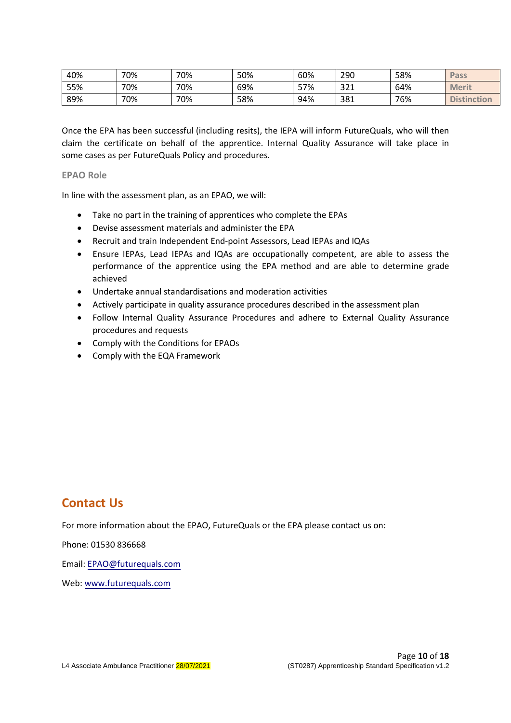| 40% | 70% | 70% | 50% | 60%        | 290 | 58% | Pass               |
|-----|-----|-----|-----|------------|-----|-----|--------------------|
| 55% | 70% | 70% | 69% | 57%<br>، ر | 321 | 64% | <b>Merit</b>       |
| 89% | 70% | 70% | 58% | 94%        | 381 | 76% | <b>Distinction</b> |

Once the EPA has been successful (including resits), the IEPA will inform FutureQuals, who will then claim the certificate on behalf of the apprentice. Internal Quality Assurance will take place in some cases as per FutureQuals Policy and procedures.

#### <span id="page-9-0"></span>**EPAO Role**

In line with the assessment plan, as an EPAO, we will:

- Take no part in the training of apprentices who complete the EPAs
- Devise assessment materials and administer the EPA
- Recruit and train Independent End-point Assessors, Lead IEPAs and IQAs
- Ensure IEPAs, Lead IEPAs and IQAs are occupationally competent, are able to assess the performance of the apprentice using the EPA method and are able to determine grade achieved
- Undertake annual standardisations and moderation activities
- Actively participate in quality assurance procedures described in the assessment plan
- Follow Internal Quality Assurance Procedures and adhere to External Quality Assurance procedures and requests
- Comply with the Conditions for EPAOs
- <span id="page-9-1"></span>• Comply with the EQA Framework

### **Contact Us**

For more information about the EPAO, FutureQuals or the EPA please contact us on:

Phone: 01530 836668

Email: EPAO@[futurequals](mailto:EPAO@futureassess.com).com

Web: www.[futurequals](http://www.futureassess.com/).com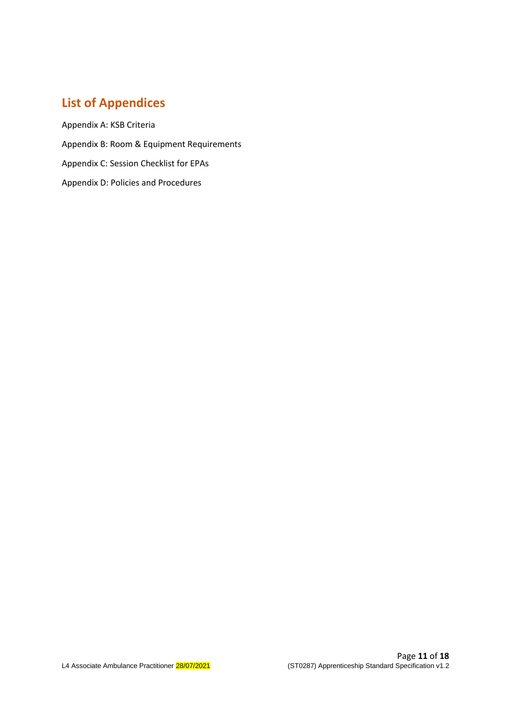## <span id="page-10-0"></span>**List of Appendices**

Appendix A: KSB Criteria Appendix B: Room & Equipment Requirements Appendix C: Session Checklist for EPAs Appendix D: Policies and Procedures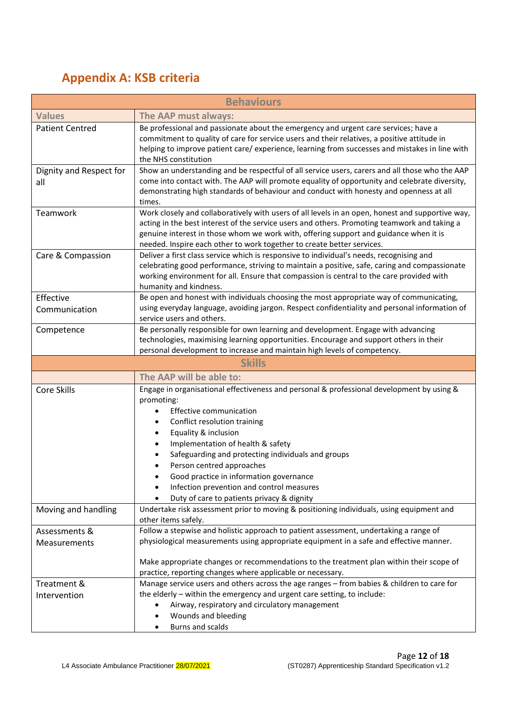## <span id="page-11-0"></span>**Appendix A: KSB criteria**

|                                | <b>Behaviours</b>                                                                                                                                                                                                                                                                                                                                                                                                                                                         |
|--------------------------------|---------------------------------------------------------------------------------------------------------------------------------------------------------------------------------------------------------------------------------------------------------------------------------------------------------------------------------------------------------------------------------------------------------------------------------------------------------------------------|
| <b>Values</b>                  | The AAP must always:                                                                                                                                                                                                                                                                                                                                                                                                                                                      |
| <b>Patient Centred</b>         | Be professional and passionate about the emergency and urgent care services; have a<br>commitment to quality of care for service users and their relatives, a positive attitude in<br>helping to improve patient care/experience, learning from successes and mistakes in line with<br>the NHS constitution                                                                                                                                                               |
| Dignity and Respect for<br>all | Show an understanding and be respectful of all service users, carers and all those who the AAP<br>come into contact with. The AAP will promote equality of opportunity and celebrate diversity,<br>demonstrating high standards of behaviour and conduct with honesty and openness at all<br>times.                                                                                                                                                                       |
| Teamwork                       | Work closely and collaboratively with users of all levels in an open, honest and supportive way,<br>acting in the best interest of the service users and others. Promoting teamwork and taking a<br>genuine interest in those whom we work with, offering support and guidance when it is<br>needed. Inspire each other to work together to create better services.                                                                                                       |
| Care & Compassion              | Deliver a first class service which is responsive to individual's needs, recognising and<br>celebrating good performance, striving to maintain a positive, safe, caring and compassionate<br>working environment for all. Ensure that compassion is central to the care provided with<br>humanity and kindness.                                                                                                                                                           |
| Effective<br>Communication     | Be open and honest with individuals choosing the most appropriate way of communicating,<br>using everyday language, avoiding jargon. Respect confidentiality and personal information of<br>service users and others.                                                                                                                                                                                                                                                     |
| Competence                     | Be personally responsible for own learning and development. Engage with advancing<br>technologies, maximising learning opportunities. Encourage and support others in their<br>personal development to increase and maintain high levels of competency.                                                                                                                                                                                                                   |
|                                | <b>Skills</b>                                                                                                                                                                                                                                                                                                                                                                                                                                                             |
|                                | The AAP will be able to:                                                                                                                                                                                                                                                                                                                                                                                                                                                  |
| Core Skills                    | Engage in organisational effectiveness and personal & professional development by using &<br>promoting:<br><b>Effective communication</b><br>Conflict resolution training<br>٠<br>Equality & inclusion<br>٠<br>Implementation of health & safety<br>Safeguarding and protecting individuals and groups<br>Person centred approaches<br>Good practice in information governance<br>Infection prevention and control measures<br>Duty of care to patients privacy & dignity |
| Moving and handling            | Undertake risk assessment prior to moving & positioning individuals, using equipment and<br>other items safely.                                                                                                                                                                                                                                                                                                                                                           |
| Assessments &<br>Measurements  | Follow a stepwise and holistic approach to patient assessment, undertaking a range of<br>physiological measurements using appropriate equipment in a safe and effective manner.<br>Make appropriate changes or recommendations to the treatment plan within their scope of<br>practice, reporting changes where applicable or necessary.                                                                                                                                  |
| Treatment &<br>Intervention    | Manage service users and others across the age ranges - from babies & children to care for<br>the elderly - within the emergency and urgent care setting, to include:<br>Airway, respiratory and circulatory management<br>Wounds and bleeding<br><b>Burns and scalds</b>                                                                                                                                                                                                 |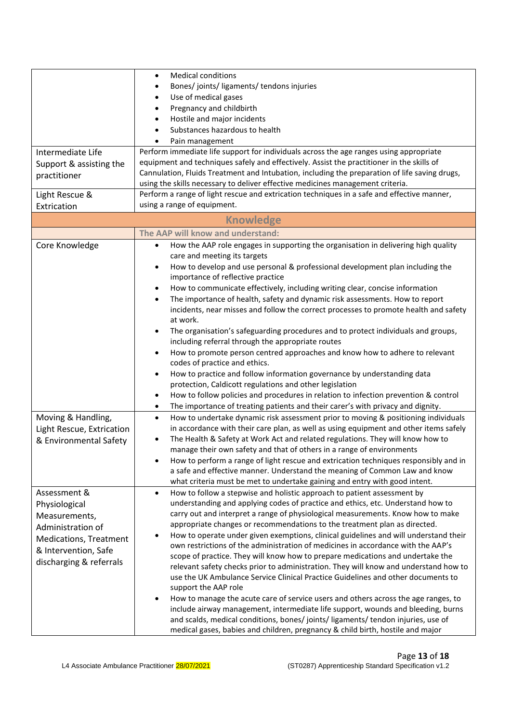|                               | <b>Medical conditions</b><br>$\bullet$                                                                                  |
|-------------------------------|-------------------------------------------------------------------------------------------------------------------------|
|                               | Bones/joints/ligaments/tendons injuries<br>$\bullet$                                                                    |
|                               | Use of medical gases<br>$\bullet$                                                                                       |
|                               | Pregnancy and childbirth<br>$\bullet$                                                                                   |
|                               |                                                                                                                         |
|                               | Hostile and major incidents<br>$\bullet$                                                                                |
|                               | Substances hazardous to health                                                                                          |
|                               | Pain management                                                                                                         |
| Intermediate Life             | Perform immediate life support for individuals across the age ranges using appropriate                                  |
| Support & assisting the       | equipment and techniques safely and effectively. Assist the practitioner in the skills of                               |
| practitioner                  | Cannulation, Fluids Treatment and Intubation, including the preparation of life saving drugs,                           |
|                               | using the skills necessary to deliver effective medicines management criteria.                                          |
| Light Rescue &                | Perform a range of light rescue and extrication techniques in a safe and effective manner,                              |
| Extrication                   | using a range of equipment.                                                                                             |
|                               | <b>Knowledge</b>                                                                                                        |
|                               | The AAP will know and understand:                                                                                       |
| Core Knowledge                | How the AAP role engages in supporting the organisation in delivering high quality<br>$\bullet$                         |
|                               | care and meeting its targets                                                                                            |
|                               | How to develop and use personal & professional development plan including the<br>٠<br>importance of reflective practice |
|                               |                                                                                                                         |
|                               | How to communicate effectively, including writing clear, concise information<br>$\bullet$                               |
|                               | The importance of health, safety and dynamic risk assessments. How to report<br>$\bullet$                               |
|                               | incidents, near misses and follow the correct processes to promote health and safety                                    |
|                               | at work.                                                                                                                |
|                               | The organisation's safeguarding procedures and to protect individuals and groups,                                       |
|                               | including referral through the appropriate routes                                                                       |
|                               | How to promote person centred approaches and know how to adhere to relevant                                             |
|                               | codes of practice and ethics.                                                                                           |
|                               | How to practice and follow information governance by understanding data<br>$\bullet$                                    |
|                               | protection, Caldicott regulations and other legislation                                                                 |
|                               | How to follow policies and procedures in relation to infection prevention & control                                     |
|                               | The importance of treating patients and their carer's with privacy and dignity.<br>٠                                    |
| Moving & Handling,            | How to undertake dynamic risk assessment prior to moving & positioning individuals<br>$\bullet$                         |
| Light Rescue, Extrication     | in accordance with their care plan, as well as using equipment and other items safely                                   |
| & Environmental Safety        | The Health & Safety at Work Act and related regulations. They will know how to                                          |
|                               | manage their own safety and that of others in a range of environments                                                   |
|                               | How to perform a range of light rescue and extrication techniques responsibly and in                                    |
|                               | a safe and effective manner. Understand the meaning of Common Law and know                                              |
|                               | what criteria must be met to undertake gaining and entry with good intent.                                              |
| Assessment &                  | How to follow a stepwise and holistic approach to patient assessment by<br>$\bullet$                                    |
|                               | understanding and applying codes of practice and ethics, etc. Understand how to                                         |
| Physiological                 |                                                                                                                         |
| Measurements,                 | carry out and interpret a range of physiological measurements. Know how to make                                         |
| Administration of             | appropriate changes or recommendations to the treatment plan as directed.                                               |
| <b>Medications, Treatment</b> | How to operate under given exemptions, clinical guidelines and will understand their                                    |
| & Intervention, Safe          | own restrictions of the administration of medicines in accordance with the AAP's                                        |
| discharging & referrals       | scope of practice. They will know how to prepare medications and undertake the                                          |
|                               | relevant safety checks prior to administration. They will know and understand how to                                    |
|                               | use the UK Ambulance Service Clinical Practice Guidelines and other documents to                                        |
|                               | support the AAP role                                                                                                    |
|                               | How to manage the acute care of service users and others across the age ranges, to                                      |
|                               | include airway management, intermediate life support, wounds and bleeding, burns                                        |
|                               | and scalds, medical conditions, bones/ joints/ ligaments/ tendon injuries, use of                                       |
|                               | medical gases, babies and children, pregnancy & child birth, hostile and major                                          |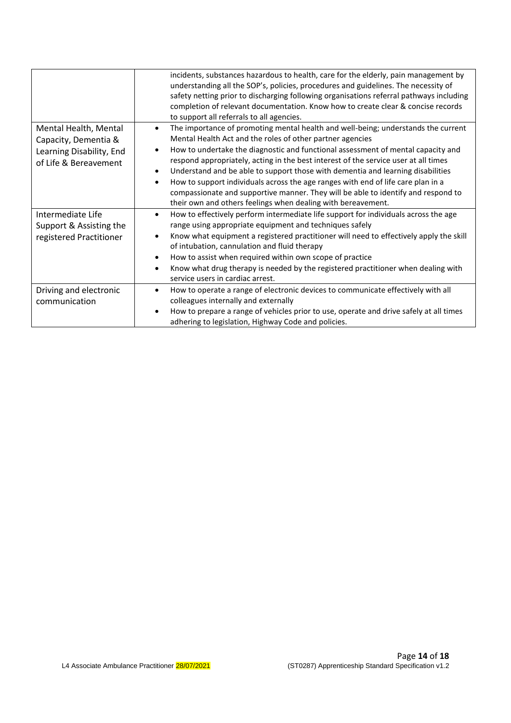|                                                                                                    | incidents, substances hazardous to health, care for the elderly, pain management by<br>understanding all the SOP's, policies, procedures and guidelines. The necessity of<br>safety netting prior to discharging following organisations referral pathways including<br>completion of relevant documentation. Know how to create clear & concise records<br>to support all referrals to all agencies.                                                                                                                                                                                                                                                                           |
|----------------------------------------------------------------------------------------------------|---------------------------------------------------------------------------------------------------------------------------------------------------------------------------------------------------------------------------------------------------------------------------------------------------------------------------------------------------------------------------------------------------------------------------------------------------------------------------------------------------------------------------------------------------------------------------------------------------------------------------------------------------------------------------------|
| Mental Health, Mental<br>Capacity, Dementia &<br>Learning Disability, End<br>of Life & Bereavement | The importance of promoting mental health and well-being; understands the current<br>$\bullet$<br>Mental Health Act and the roles of other partner agencies<br>How to undertake the diagnostic and functional assessment of mental capacity and<br>respond appropriately, acting in the best interest of the service user at all times<br>Understand and be able to support those with dementia and learning disabilities<br>$\bullet$<br>How to support individuals across the age ranges with end of life care plan in a<br>compassionate and supportive manner. They will be able to identify and respond to<br>their own and others feelings when dealing with bereavement. |
| Intermediate Life<br>Support & Assisting the<br>registered Practitioner                            | How to effectively perform intermediate life support for individuals across the age<br>$\bullet$<br>range using appropriate equipment and techniques safely<br>Know what equipment a registered practitioner will need to effectively apply the skill<br>$\bullet$<br>of intubation, cannulation and fluid therapy<br>How to assist when required within own scope of practice<br>$\bullet$<br>Know what drug therapy is needed by the registered practitioner when dealing with<br>$\bullet$<br>service users in cardiac arrest.                                                                                                                                               |
| Driving and electronic<br>communication                                                            | How to operate a range of electronic devices to communicate effectively with all<br>$\bullet$<br>colleagues internally and externally<br>How to prepare a range of vehicles prior to use, operate and drive safely at all times<br>$\bullet$<br>adhering to legislation, Highway Code and policies.                                                                                                                                                                                                                                                                                                                                                                             |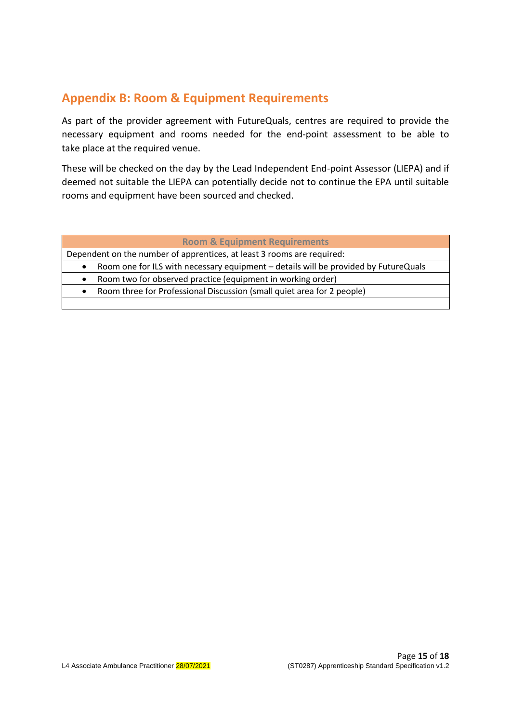## <span id="page-14-0"></span>**Appendix B: Room & Equipment Requirements**

As part of the provider agreement with FutureQuals, centres are required to provide the necessary equipment and rooms needed for the end-point assessment to be able to take place at the required venue.

These will be checked on the day by the Lead Independent End-point Assessor (LIEPA) and if deemed not suitable the LIEPA can potentially decide not to continue the EPA until suitable rooms and equipment have been sourced and checked.

#### **Room & Equipment Requirements**

Dependent on the number of apprentices, at least 3 rooms are required:

• Room one for ILS with necessary equipment – details will be provided by FutureQuals

• Room two for observed practice (equipment in working order)

• Room three for Professional Discussion (small quiet area for 2 people)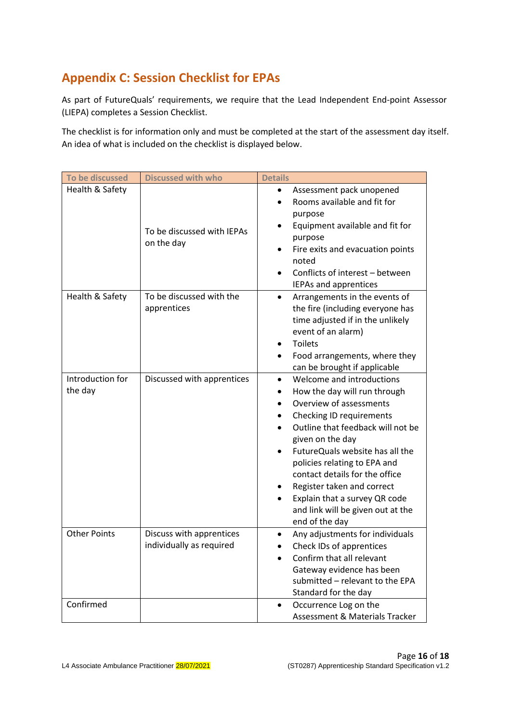## <span id="page-15-0"></span>**Appendix C: Session Checklist for EPAs**

As part of FutureQuals' requirements, we require that the Lead Independent End-point Assessor (LIEPA) completes a Session Checklist.

The checklist is for information only and must be completed at the start of the assessment day itself. An idea of what is included on the checklist is displayed below.

| To be discussed             | <b>Discussed with who</b>                            | <b>Details</b>                                                                                                                                                                                                                                                                                                                                                                                                                                                |
|-----------------------------|------------------------------------------------------|---------------------------------------------------------------------------------------------------------------------------------------------------------------------------------------------------------------------------------------------------------------------------------------------------------------------------------------------------------------------------------------------------------------------------------------------------------------|
| Health & Safety             | To be discussed with IEPAs<br>on the day             | Assessment pack unopened<br>Rooms available and fit for<br>purpose<br>Equipment available and fit for<br>٠<br>purpose<br>Fire exits and evacuation points<br>noted<br>Conflicts of interest - between<br>IEPAs and apprentices                                                                                                                                                                                                                                |
| Health & Safety             | To be discussed with the<br>apprentices              | Arrangements in the events of<br>$\bullet$<br>the fire (including everyone has<br>time adjusted if in the unlikely<br>event of an alarm)<br><b>Toilets</b><br>Food arrangements, where they<br>٠<br>can be brought if applicable                                                                                                                                                                                                                              |
| Introduction for<br>the day | Discussed with apprentices                           | Welcome and introductions<br>$\bullet$<br>How the day will run through<br>٠<br>Overview of assessments<br>Checking ID requirements<br>Outline that feedback will not be<br>$\bullet$<br>given on the day<br>FutureQuals website has all the<br>$\bullet$<br>policies relating to EPA and<br>contact details for the office<br>Register taken and correct<br>Explain that a survey QR code<br>$\bullet$<br>and link will be given out at the<br>end of the day |
| <b>Other Points</b>         | Discuss with apprentices<br>individually as required | Any adjustments for individuals<br>$\bullet$<br>Check IDs of apprentices<br>$\bullet$<br>Confirm that all relevant<br>Gateway evidence has been<br>submitted - relevant to the EPA<br>Standard for the day                                                                                                                                                                                                                                                    |
| Confirmed                   |                                                      | Occurrence Log on the<br>٠<br><b>Assessment &amp; Materials Tracker</b>                                                                                                                                                                                                                                                                                                                                                                                       |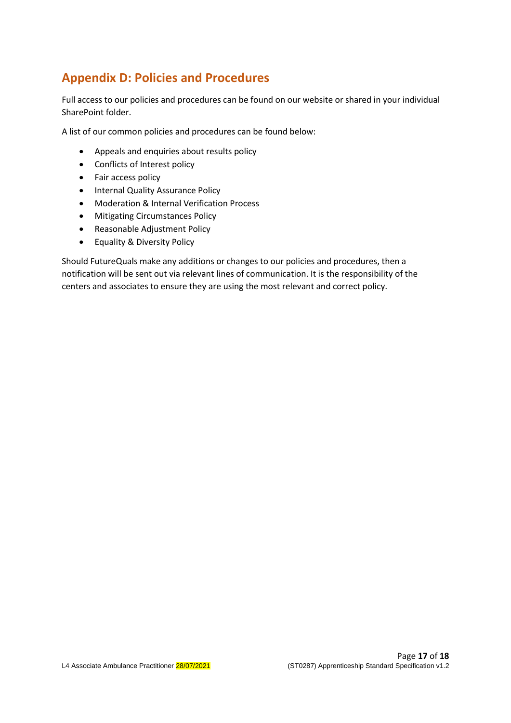## <span id="page-16-0"></span>**Appendix D: Policies and Procedures**

Full access to our policies and procedures can be found on our website or shared in your individual SharePoint folder.

A list of our common policies and procedures can be found below:

- Appeals and enquiries about results policy
- Conflicts of Interest policy
- Fair access policy
- Internal Quality Assurance Policy
- Moderation & Internal Verification Process
- Mitigating Circumstances Policy
- Reasonable Adjustment Policy
- Equality & Diversity Policy

Should FutureQuals make any additions or changes to our policies and procedures, then a notification will be sent out via relevant lines of communication. It is the responsibility of the centers and associates to ensure they are using the most relevant and correct policy.